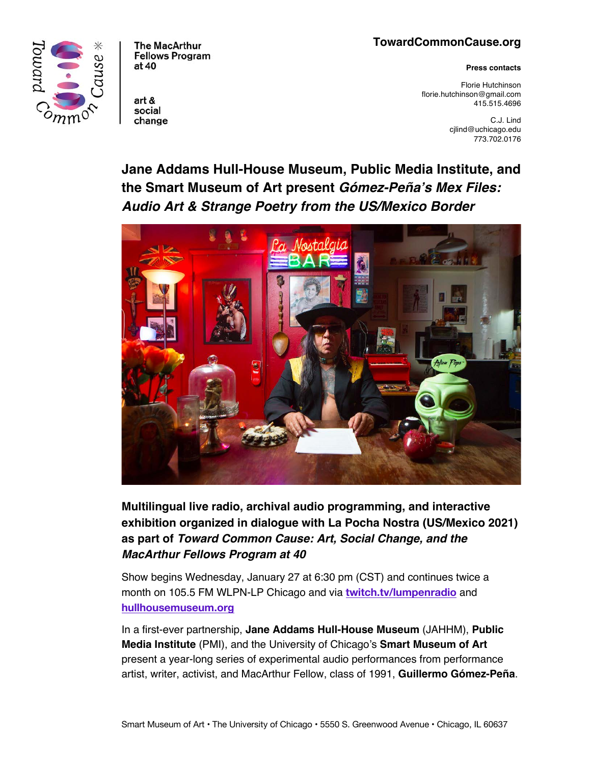## **TowardCommonCause.org**

**Press contacts**

Florie Hutchinson florie.hutchinson@gmail.com 415.515.4696

> C.J. Lind cjlind@uchicago.edu 773.702.0176

**Jane Addams Hull-House Museum, Public Media Institute, and the Smart Museum of Art present** *Gómez-Peña's Mex Files: Audio Art & Strange Poetry from the US/Mexico Border*



**Multilingual live radio, archival audio programming, and interactive exhibition organized in dialogue with La Pocha Nostra (US/Mexico 2021) as part of** *Toward Common Cause: Art, Social Change, and the MacArthur Fellows Program at 40*

Show begins Wednesday, January 27 at 6:30 pm (CST) and continues twice a month on 105.5 FM WLPN-LP Chicago and via **twitch.tv/lumpenradio** and **hullhousemuseum.org**

In a first-ever partnership, **Jane Addams Hull-House Museum** (JAHHM), **Public Media Institute** (PMI), and the University of Chicago's **Smart Museum of Art**  present a year-long series of experimental audio performances from performance artist, writer, activist, and MacArthur Fellow, class of 1991, **Guillermo Gómez-Peña**.



**Fellows Program** at 40

**The MacArthur** 

art & social change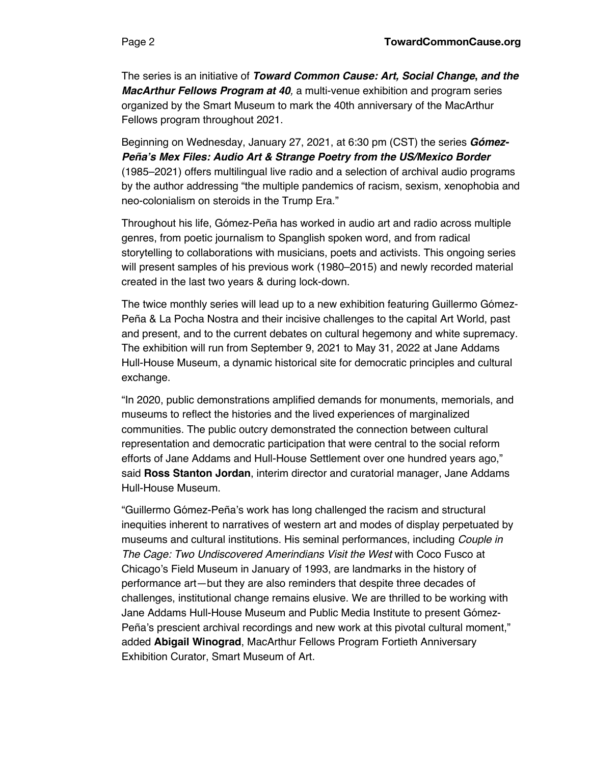The series is an initiative of *Toward Common Cause: Art, Social Change***,** *and the MacArthur Fellows Program at 40, a multi-venue exhibition and program series* organized by the Smart Museum to mark the 40th anniversary of the MacArthur Fellows program throughout 2021.

Beginning on Wednesday, January 27, 2021, at 6:30 pm (CST) the series *Gómez-Peña's Mex Files: Audio Art & Strange Poetry from the US/Mexico Border* (1985–2021) offers multilingual live radio and a selection of archival audio programs by the author addressing "the multiple pandemics of racism, sexism, xenophobia and neo-colonialism on steroids in the Trump Era."

Throughout his life, Gómez-Peña has worked in audio art and radio across multiple genres, from poetic journalism to Spanglish spoken word, and from radical storytelling to collaborations with musicians, poets and activists. This ongoing series will present samples of his previous work (1980–2015) and newly recorded material created in the last two years & during lock-down.

The twice monthly series will lead up to a new exhibition featuring Guillermo Gómez-Peña & La Pocha Nostra and their incisive challenges to the capital Art World, past and present, and to the current debates on cultural hegemony and white supremacy. The exhibition will run from September 9, 2021 to May 31, 2022 at Jane Addams Hull-House Museum, a dynamic historical site for democratic principles and cultural exchange.

"In 2020, public demonstrations amplified demands for monuments, memorials, and museums to reflect the histories and the lived experiences of marginalized communities. The public outcry demonstrated the connection between cultural representation and democratic participation that were central to the social reform efforts of Jane Addams and Hull-House Settlement over one hundred years ago," said **Ross Stanton Jordan**, interim director and curatorial manager, Jane Addams Hull-House Museum.

"Guillermo Gómez-Peña's work has long challenged the racism and structural inequities inherent to narratives of western art and modes of display perpetuated by museums and cultural institutions. His seminal performances, including *Couple in The Cage: Two Undiscovered Amerindians Visit the West* with Coco Fusco at Chicago's Field Museum in January of 1993, are landmarks in the history of performance art—but they are also reminders that despite three decades of challenges, institutional change remains elusive. We are thrilled to be working with Jane Addams Hull-House Museum and Public Media Institute to present Gómez-Peña's prescient archival recordings and new work at this pivotal cultural moment," added **Abigail Winograd**, MacArthur Fellows Program Fortieth Anniversary Exhibition Curator, Smart Museum of Art.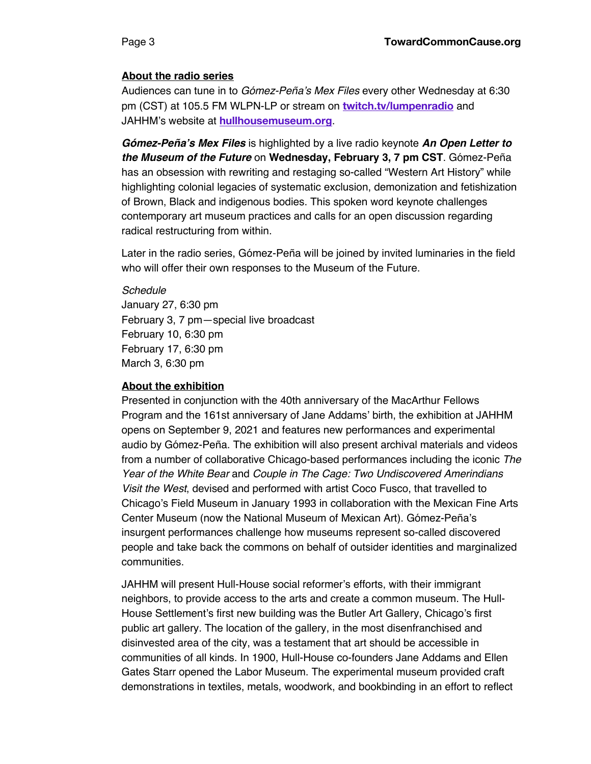#### **About the radio series**

Audiences can tune in to *Gómez-Peña's Mex Files* every other Wednesday at 6:30 pm (CST) at 105.5 FM WLPN-LP or stream on **twitch.tv/lumpenradio** and JAHHM's website at **hullhousemuseum.org**.

*Gómez-Peña's Mex Files* is highlighted by a live radio keynote *An Open Letter to the Museum of the Future* on **Wednesday, February 3, 7 pm CST**. Gómez-Peña has an obsession with rewriting and restaging so-called "Western Art History" while highlighting colonial legacies of systematic exclusion, demonization and fetishization of Brown, Black and indigenous bodies. This spoken word keynote challenges contemporary art museum practices and calls for an open discussion regarding radical restructuring from within.

Later in the radio series, Gómez-Peña will be joined by invited luminaries in the field who will offer their own responses to the Museum of the Future.

#### *Schedule*

January 27, 6:30 pm February 3, 7 pm—special live broadcast February 10, 6:30 pm February 17, 6:30 pm March 3, 6:30 pm

#### **About the exhibition**

Presented in conjunction with the 40th anniversary of the MacArthur Fellows Program and the 161st anniversary of Jane Addams' birth, the exhibition at JAHHM opens on September 9, 2021 and features new performances and experimental audio by Gómez-Peña. The exhibition will also present archival materials and videos from a number of collaborative Chicago-based performances including the iconic *The Year of the White Bear* and *Couple in The Cage: Two Undiscovered Amerindians Visit the West*, devised and performed with artist Coco Fusco, that travelled to Chicago's Field Museum in January 1993 in collaboration with the Mexican Fine Arts Center Museum (now the National Museum of Mexican Art). Gómez-Peña's insurgent performances challenge how museums represent so-called discovered people and take back the commons on behalf of outsider identities and marginalized communities.

JAHHM will present Hull-House social reformer's efforts, with their immigrant neighbors, to provide access to the arts and create a common museum. The Hull-House Settlement's first new building was the Butler Art Gallery, Chicago's first public art gallery. The location of the gallery, in the most disenfranchised and disinvested area of the city, was a testament that art should be accessible in communities of all kinds. In 1900, Hull-House co-founders Jane Addams and Ellen Gates Starr opened the Labor Museum. The experimental museum provided craft demonstrations in textiles, metals, woodwork, and bookbinding in an effort to reflect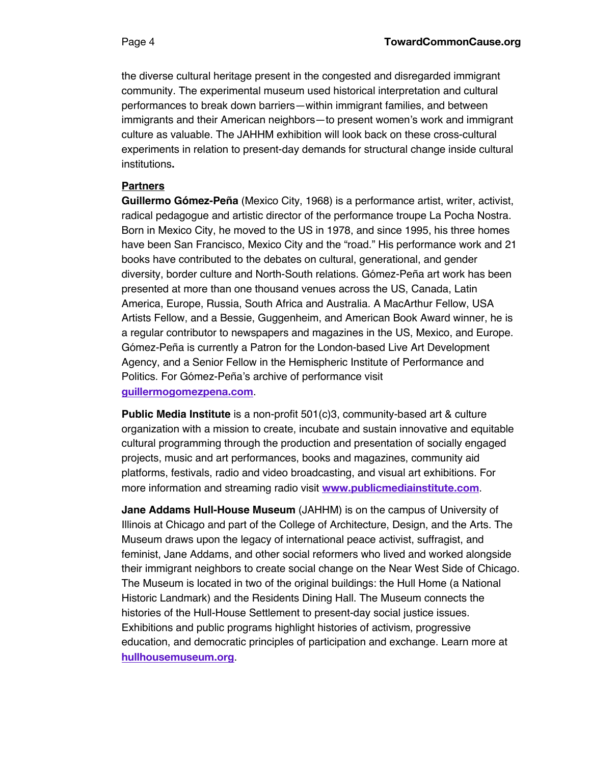the diverse cultural heritage present in the congested and disregarded immigrant community. The experimental museum used historical interpretation and cultural performances to break down barriers—within immigrant families, and between immigrants and their American neighbors—to present women's work and immigrant culture as valuable. The JAHHM exhibition will look back on these cross-cultural experiments in relation to present-day demands for structural change inside cultural institutions**.**

### **Partners**

**Guillermo Gómez-Peña** (Mexico City, 1968) is a performance artist, writer, activist, radical pedagogue and artistic director of the performance troupe La Pocha Nostra. Born in Mexico City, he moved to the US in 1978, and since 1995, his three homes have been San Francisco, Mexico City and the "road." His performance work and 21 books have contributed to the debates on cultural, generational, and gender diversity, border culture and North-South relations. Gómez-Peña art work has been presented at more than one thousand venues across the US, Canada, Latin America, Europe, Russia, South Africa and Australia. A MacArthur Fellow, USA Artists Fellow, and a Bessie, Guggenheim, and American Book Award winner, he is a regular contributor to newspapers and magazines in the US, Mexico, and Europe. Gómez-Peña is currently a Patron for the London-based Live Art Development Agency, and a Senior Fellow in the Hemispheric Institute of Performance and Politics. For Gómez-Peña's archive of performance visit **guillermogomezpena.com**.

**Public Media Institute** is a non-profit 501(c)3, community-based art & culture organization with a mission to create, incubate and sustain innovative and equitable cultural programming through the production and presentation of socially engaged projects, music and art performances, books and magazines, community aid platforms, festivals, radio and video broadcasting, and visual art exhibitions. For more information and streaming radio visit **www.publicmediainstitute.com**.

**Jane Addams Hull-House Museum** (JAHHM) is on the campus of University of Illinois at Chicago and part of the College of Architecture, Design, and the Arts. The Museum draws upon the legacy of international peace activist, suffragist, and feminist, Jane Addams, and other social reformers who lived and worked alongside their immigrant neighbors to create social change on the Near West Side of Chicago. The Museum is located in two of the original buildings: the Hull Home (a National Historic Landmark) and the Residents Dining Hall. The Museum connects the histories of the Hull-House Settlement to present-day social justice issues. Exhibitions and public programs highlight histories of activism, progressive education, and democratic principles of participation and exchange. Learn more at **hullhousemuseum.org**.